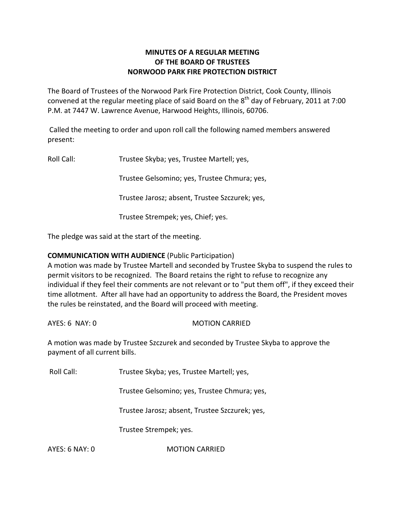# **MINUTES OF A REGULAR MEETING OF THE BOARD OF TRUSTEES NORWOOD PARK FIRE PROTECTION DISTRICT**

The Board of Trustees of the Norwood Park Fire Protection District, Cook County, Illinois convened at the regular meeting place of said Board on the  $8^{\text{th}}$  day of February, 2011 at 7:00 P.M. at 7447 W. Lawrence Avenue, Harwood Heights, Illinois, 60706.

Called the meeting to order and upon roll call the following named members answered present:

Roll Call: Trustee Skyba; yes, Trustee Martell; yes, Trustee Gelsomino; yes, Trustee Chmura; yes, Trustee Jarosz; absent, Trustee Szczurek; yes, Trustee Strempek; yes, Chief; yes.

The pledge was said at the start of the meeting.

# **COMMUNICATION WITH AUDIENCE** (Public Participation)

A motion was made by Trustee Martell and seconded by Trustee Skyba to suspend the rules to permit visitors to be recognized. The Board retains the right to refuse to recognize any individual if they feel their comments are not relevant or to "put them off", if they exceed their time allotment. After all have had an opportunity to address the Board, the President moves the rules be reinstated, and the Board will proceed with meeting.

AYES: 6 NAY: 0 MOTION CARRIED

A motion was made by Trustee Szczurek and seconded by Trustee Skyba to approve the payment of all current bills.

Roll Call: Trustee Skyba; yes, Trustee Martell; yes,

Trustee Gelsomino; yes, Trustee Chmura; yes,

Trustee Jarosz; absent, Trustee Szczurek; yes,

Trustee Strempek; yes.

AYES: 6 NAY: 0 MOTION CARRIED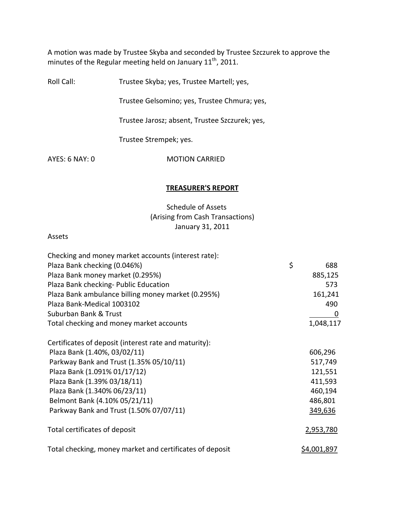A motion was made by Trustee Skyba and seconded by Trustee Szczurek to approve the minutes of the Regular meeting held on January 11<sup>th</sup>, 2011.

Roll Call: Trustee Skyba; yes, Trustee Martell; yes,

Trustee Gelsomino; yes, Trustee Chmura; yes,

Trustee Jarosz; absent, Trustee Szczurek; yes,

Trustee Strempek; yes.

AYES: 6 NAY: 0 MOTION CARRIED

#### **TREASURER'S REPORT**

Schedule of Assets (Arising from Cash Transactions) January 31, 2011

#### Assets

| Checking and money market accounts (interest rate):      |                    |
|----------------------------------------------------------|--------------------|
| Plaza Bank checking (0.046%)                             | \$<br>688          |
| Plaza Bank money market (0.295%)                         | 885,125            |
| Plaza Bank checking- Public Education                    | 573                |
| Plaza Bank ambulance billing money market (0.295%)       | 161,241            |
| Plaza Bank-Medical 1003102                               | 490                |
| Suburban Bank & Trust                                    | 0                  |
| Total checking and money market accounts                 | 1,048,117          |
| Certificates of deposit (interest rate and maturity):    |                    |
| Plaza Bank (1.40%, 03/02/11)                             | 606,296            |
| Parkway Bank and Trust (1.35% 05/10/11)                  | 517,749            |
| Plaza Bank (1.091% 01/17/12)                             | 121,551            |
| Plaza Bank (1.39% 03/18/11)                              | 411,593            |
| Plaza Bank (1.340% 06/23/11)                             | 460,194            |
| Belmont Bank (4.10% 05/21/11)                            | 486,801            |
| Parkway Bank and Trust (1.50% 07/07/11)                  | 349,636            |
| Total certificates of deposit                            | 2,953,780          |
| Total checking, money market and certificates of deposit | <u>\$4,001,897</u> |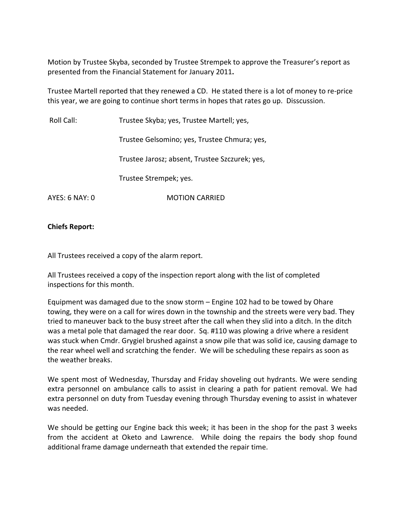Motion by Trustee Skyba, seconded by Trustee Strempek to approve the Treasurer's report as presented from the Financial Statement for January 2011**.**

Trustee Martell reported that they renewed a CD. He stated there is a lot of money to re‐price this year, we are going to continue short terms in hopes that rates go up. Disscussion.

Roll Call: Trustee Skyba; yes, Trustee Martell; yes,

Trustee Gelsomino; yes, Trustee Chmura; yes,

Trustee Jarosz; absent, Trustee Szczurek; yes,

Trustee Strempek; yes.

AYES: 6 NAY: 0 **MOTION CARRIED** 

**Chiefs Report:**

All Trustees received a copy of the alarm report.

All Trustees received a copy of the inspection report along with the list of completed inspections for this month.

Equipment was damaged due to the snow storm – Engine 102 had to be towed by Ohare towing, they were on a call for wires down in the township and the streets were very bad. They tried to maneuver back to the busy street after the call when they slid into a ditch. In the ditch was a metal pole that damaged the rear door. Sq. #110 was plowing a drive where a resident was stuck when Cmdr. Grygiel brushed against a snow pile that was solid ice, causing damage to the rear wheel well and scratching the fender. We will be scheduling these repairs as soon as the weather breaks.

We spent most of Wednesday, Thursday and Friday shoveling out hydrants. We were sending extra personnel on ambulance calls to assist in clearing a path for patient removal. We had extra personnel on duty from Tuesday evening through Thursday evening to assist in whatever was needed.

We should be getting our Engine back this week; it has been in the shop for the past 3 weeks from the accident at Oketo and Lawrence. While doing the repairs the body shop found additional frame damage underneath that extended the repair time.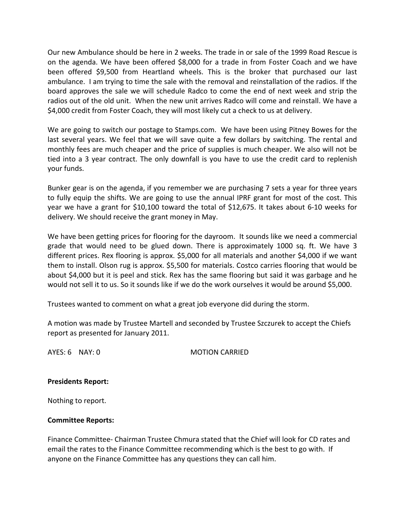Our new Ambulance should be here in 2 weeks. The trade in or sale of the 1999 Road Rescue is on the agenda. We have been offered \$8,000 for a trade in from Foster Coach and we have been offered \$9,500 from Heartland wheels. This is the broker that purchased our last ambulance. I am trying to time the sale with the removal and reinstallation of the radios. If the board approves the sale we will schedule Radco to come the end of next week and strip the radios out of the old unit. When the new unit arrives Radco will come and reinstall. We have a \$4,000 credit from Foster Coach, they will most likely cut a check to us at delivery.

We are going to switch our postage to Stamps.com. We have been using Pitney Bowes for the last several years. We feel that we will save quite a few dollars by switching. The rental and monthly fees are much cheaper and the price of supplies is much cheaper. We also will not be tied into a 3 year contract. The only downfall is you have to use the credit card to replenish your funds.

Bunker gear is on the agenda, if you remember we are purchasing 7 sets a year for three years to fully equip the shifts. We are going to use the annual IPRF grant for most of the cost. This year we have a grant for \$10,100 toward the total of \$12,675. It takes about 6‐10 weeks for delivery. We should receive the grant money in May.

We have been getting prices for flooring for the dayroom. It sounds like we need a commercial grade that would need to be glued down. There is approximately 1000 sq. ft. We have 3 different prices. Rex flooring is approx. \$5,000 for all materials and another \$4,000 if we want them to install. Olson rug is approx. \$5,500 for materials. Costco carries flooring that would be about \$4,000 but it is peel and stick. Rex has the same flooring but said it was garbage and he would not sell it to us. So it sounds like if we do the work ourselves it would be around \$5,000.

Trustees wanted to comment on what a great job everyone did during the storm.

A motion was made by Trustee Martell and seconded by Trustee Szczurek to accept the Chiefs report as presented for January 2011.

AYES: 6 NAY: 0 MOTION CARRIED

## **Presidents Report:**

Nothing to report.

## **Committee Reports:**

Finance Committee‐ Chairman Trustee Chmura stated that the Chief will look for CD rates and email the rates to the Finance Committee recommending which is the best to go with. If anyone on the Finance Committee has any questions they can call him.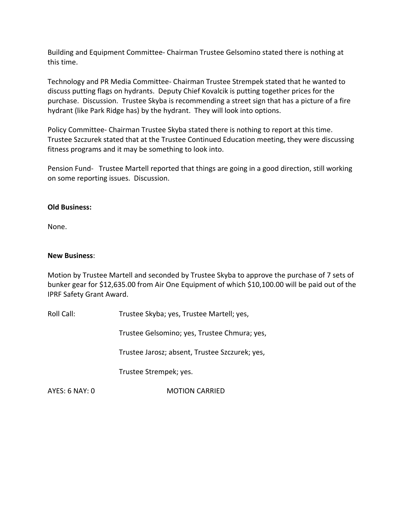Building and Equipment Committee‐ Chairman Trustee Gelsomino stated there is nothing at this time.

Technology and PR Media Committee‐ Chairman Trustee Strempek stated that he wanted to discuss putting flags on hydrants. Deputy Chief Kovalcik is putting together prices for the purchase. Discussion. Trustee Skyba is recommending a street sign that has a picture of a fire hydrant (like Park Ridge has) by the hydrant. They will look into options.

Policy Committee‐ Chairman Trustee Skyba stated there is nothing to report at this time. Trustee Szczurek stated that at the Trustee Continued Education meeting, they were discussing fitness programs and it may be something to look into.

Pension Fund- Trustee Martell reported that things are going in a good direction, still working on some reporting issues. Discussion.

## **Old Business:**

None.

## **New Business**:

Motion by Trustee Martell and seconded by Trustee Skyba to approve the purchase of 7 sets of bunker gear for \$12,635.00 from Air One Equipment of which \$10,100.00 will be paid out of the IPRF Safety Grant Award.

Roll Call: Trustee Skyba; yes, Trustee Martell; yes,

Trustee Gelsomino; yes, Trustee Chmura; yes,

Trustee Jarosz; absent, Trustee Szczurek; yes,

Trustee Strempek; yes.

AYES: 6 NAY: 0 MOTION CARRIED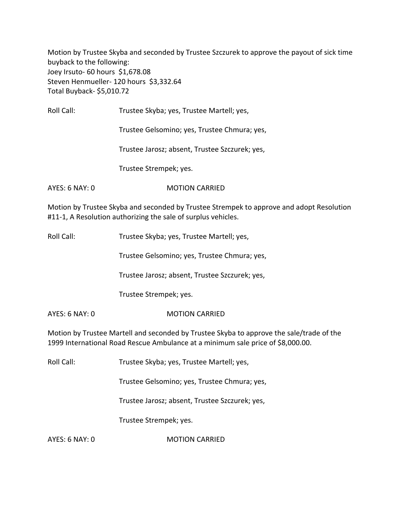Motion by Trustee Skyba and seconded by Trustee Szczurek to approve the payout of sick time buyback to the following: Joey Irsuto‐ 60 hours \$1,678.08 Steven Henmueller- 120 hours \$3,332.64 Total Buyback‐ \$5,010.72

Roll Call: Trustee Skyba; yes, Trustee Martell; yes,

Trustee Gelsomino; yes, Trustee Chmura; yes,

Trustee Jarosz; absent, Trustee Szczurek; yes,

Trustee Strempek; yes.

AYES: 6 NAY: 0 MOTION CARRIED

Motion by Trustee Skyba and seconded by Trustee Strempek to approve and adopt Resolution #11-1, A Resolution authorizing the sale of surplus vehicles.

Roll Call: Trustee Skyba; yes, Trustee Martell; yes,

Trustee Gelsomino; yes, Trustee Chmura; yes,

Trustee Jarosz; absent, Trustee Szczurek; yes,

Trustee Strempek; yes.

AYES: 6 NAY: 0 **MOTION CARRIED** 

Motion by Trustee Martell and seconded by Trustee Skyba to approve the sale/trade of the 1999 International Road Rescue Ambulance at a minimum sale price of \$8,000.00.

Roll Call: Trustee Skyba; yes, Trustee Martell; yes,

Trustee Gelsomino; yes, Trustee Chmura; yes,

Trustee Jarosz; absent, Trustee Szczurek; yes,

Trustee Strempek; yes.

AYES: 6 NAY: 0 MOTION CARRIED